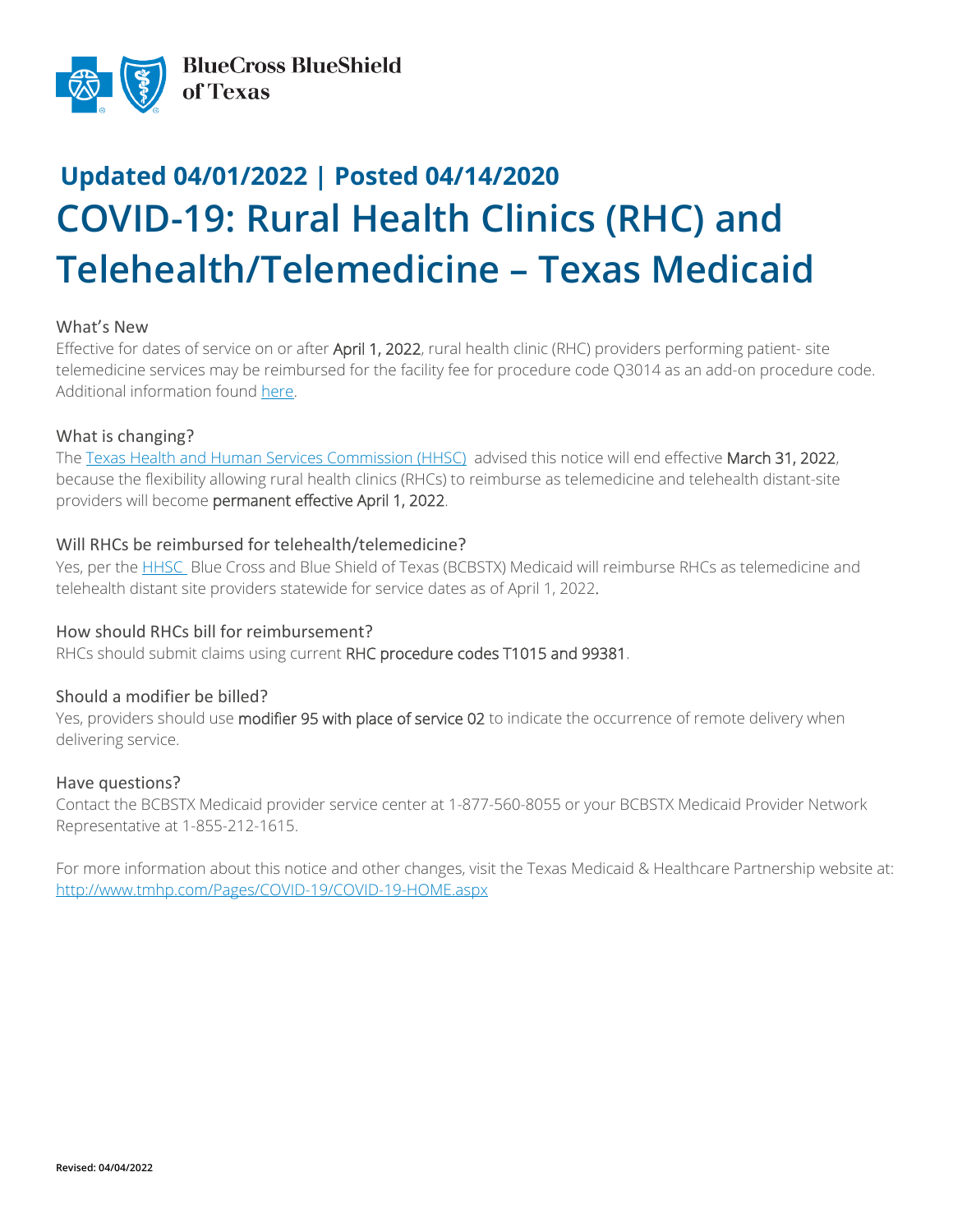

# **Updated 04/01/2022 | Posted 04/14/2020 COVID-19: Rural Health Clinics (RHC) and Telehealth/Telemedicine – Texas Medicaid**

### What's New

Effective for dates of service on or after April 1, 2022, rural health clinic (RHC) providers performing patient- site telemedicine services may be reimbursed for the facility fee for procedure code Q3014 as an add-on procedure code. Additional information found [here.](https://www.tmhp.com/news/2022-02-28-telemedicine-and-telehealth-services-provided-rural-health-clinics)

## What is changing?

The [Texas Health and Human Services Commission \(HHSC\)](https://www.tmhp.com/news/2022-02-28-update-multiple-medicaid-covid-19-flexibilities-extended-through-april-30-2022) advised this notice will end effective March 31, 2022, because the flexibility allowing rural health clinics (RHCs) to reimburse as telemedicine and telehealth distant-site providers will become permanent effective April 1, 2022.

## Will RHCs be reimbursed for telehealth/telemedicine?

Yes, per the [HHSC](https://www.tmhp.com/news/2022-01-20-multiple-medicaid-covid-19-flexibilities-extended-through-april-30-2022) Blue Cross and Blue Shield of Texas (BCBSTX) Medicaid will reimburse RHCs as telemedicine and telehealth distant site providers statewide for service dates as of April 1, 2022.

### How should RHCs bill for reimbursement?

RHCs should submit claims using current RHC procedure codes T1015 and 99381.

## Should a modifier be billed?

Yes, providers should use modifier 95 with place of service 02 to indicate the occurrence of remote delivery when delivering service.

### Have questions?

Contact the BCBSTX Medicaid provider service center at 1-877-560-8055 or your BCBSTX Medicaid Provider Network Representative at 1-855-212-1615.

For more information about this notice and other changes, visit the Texas Medicaid & Healthcare Partnership website at: <http://www.tmhp.com/Pages/COVID-19/COVID-19-HOME.aspx>